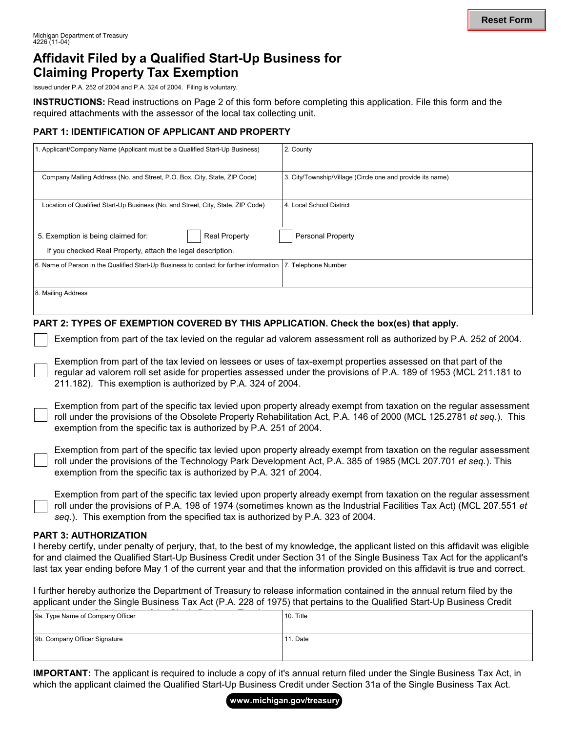## **Affidavit Filed by a Qualified Start-Up Business for Claiming Property Tax Exemption**

Issued under P.A. 252 of 2004 and P.A. 324 of 2004. Filing is voluntary.

**INSTRUCTIONS:** Read instructions on Page 2 of this form before completing this application. File this form and the required attachments with the assessor of the local tax collecting unit.

### **PART 1: IDENTIFICATION OF APPLICANT AND PROPERTY**

| 1. Applicant/Company Name (Applicant must be a Qualified Start-Up Business)             | 2. County                                                  |
|-----------------------------------------------------------------------------------------|------------------------------------------------------------|
| Company Mailing Address (No. and Street, P.O. Box, City, State, ZIP Code)               | 3. City/Township/Village (Circle one and provide its name) |
| Location of Qualified Start-Up Business (No. and Street, City, State, ZIP Code)         | 4. Local School District                                   |
| <b>Real Property</b><br>5. Exemption is being claimed for:                              | <b>Personal Property</b>                                   |
| If you checked Real Property, attach the legal description.                             |                                                            |
| 6. Name of Person in the Qualified Start-Up Business to contact for further information | 7. Telephone Number                                        |
| 8. Mailing Address                                                                      |                                                            |

#### **PART 2: TYPES OF EXEMPTION COVERED BY THIS APPLICATION. Check the box(es) that apply.**

Exemption from part of the tax levied on the regular ad valorem assessment roll as authorized by P.A. 252 of 2004.

Exemption from part of the tax levied on lessees or uses of tax-exempt properties assessed on that part of the regular ad valorem roll set aside for properties assessed under the provisions of P.A. 189 of 1953 (MCL 211.181 to 211.182). This exemption is authorized by P.A. 324 of 2004.

Exemption from part of the specific tax levied upon property already exempt from taxation on the regular assessment roll under the provisions of the Obsolete Property Rehabilitation Act, P.A. 146 of 2000 (MCL 125.2781 *et seq.*). This exemption from the specific tax is authorized by P.A. 251 of 2004.

Exemption from part of the specific tax levied upon property already exempt from taxation on the regular assessment roll under the provisions of the Technology Park Development Act, P.A. 385 of 1985 (MCL 207.701 *et seq.*). This exemption from the specific tax is authorized by P.A. 321 of 2004.

Exemption from part of the specific tax levied upon property already exempt from taxation on the regular assessment roll under the provisions of P.A. 198 of 1974 (sometimes known as the Industrial Facilities Tax Act) (MCL 207.551 *et seq.*). This exemption from the specified tax is authorized by P.A. 323 of 2004.

#### **PART 3: AUTHORIZATION**

I hereby certify, under penalty of perjury, that, to the best of my knowledge, the applicant listed on this affidavit was eligible for and claimed the Qualified Start-Up Business Credit under Section 31 of the Single Business Tax Act for the applicant's last tax year ending before May 1 of the current year and that the information provided on this affidavit is true and correct.

I further hereby authorize the Department of Treasury to release information contained in the annual return filed by the applicant under the Single Business Tax Act (P.A. 228 of 1975) that pertains to the Qualified Start-Up Business Credit

| 9a. Type Name of Company Officer | 10. Title |
|----------------------------------|-----------|
| 9b. Company Officer Signature    | 11. Date  |

**IMPORTANT:** The applicant is required to include a copy of it's annual return filed under the Single Business Tax Act, in which the applicant claimed the Qualified Start-Up Business Credit under Section 31a of the Single Business Tax Act.